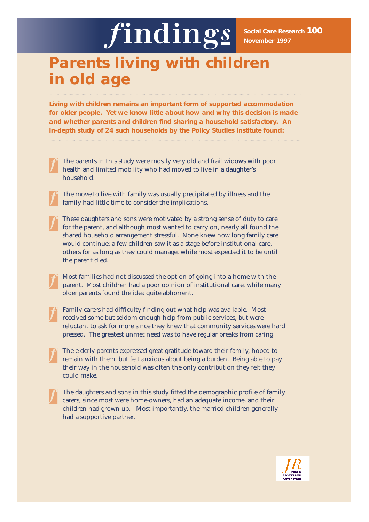# findings

**Social Care Research 100 November 1997**

# **Parents living with children in old age**

**Living with children remains an important form of supported accommodation for older people. Yet we know little about how and why this decision is made and whether parents and children find sharing a household satisfactory. An in-depth study of 24 such households by the Policy Studies Institute found:**

- **The parents in this study were mostly very old and frail widows with poor health and limited mobility who had moved to live in a daughter's household.**
- **The move to live with family was usually precipitated by illness and the family had little time to consider the implications.**
- **These daughters and sons were motivated by a strong sense of duty to care for the parent, and although most wanted to carry on, nearly all found the shared household arrangement stressful. None knew how long family care would continue: a few children saw it as a stage before institutional care, others for as long as they could manage, while most expected it to be until the parent died.**
- **Most families had not discussed the option of going into a home with the parent. Most children had a poor opinion of institutional care, while many older parents found the idea quite abhorrent.**
- **Family carers had difficulty finding out what help was available. Most received some but seldom enough help from public services, but were reluctant to ask for more since they knew that community services were hard pressed. The greatest unmet need was to have regular breaks from caring.**
- **The elderly parents expressed great gratitude toward their family, hoped to remain with them, but felt anxious about being a burden. Being able to pay their way in the household was often the only contribution they felt they could make.**
	- **The daughters and sons in this study fitted the demographic profile of family carers, since most were home-owners, had an adequate income, and their children had grown up. Most importantly, the married children generally had a supportive partner.**

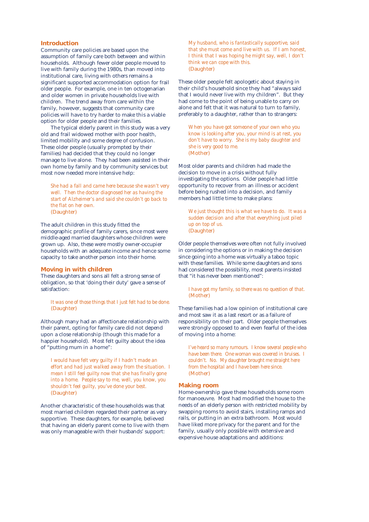#### **Introduction**

Community care policies are based upon the assumption of family care both between and within households. Although fewer older people moved to live with family during the 1980s, than moved into institutional care, living with others remains a significant supported accommodation option for frail older people. For example, one in ten octogenarian and older women in private households live with children. The trend away from care within the family, however, suggests that community care policies will have to try harder to make this a viable option for older people and their families.

The typical elderly parent in this study was a very old and frail widowed mother with poor health, limited mobility and some degree of confusion. These older people (usually prompted by their families) had decided that they could no longer manage to live alone. They had been assisted in their own home by family and by community services but most now needed more intensive help:

*She had a fall and came here because she wasn't very well. Then the doctor diagnosed her as having the start of Alzheimer's and said she couldn't go back to the flat on her own.* (Daughter)

The adult children in this study fitted the demographic profile of family carers, since most were middle-aged married daughters whose children were grown up. Also, these were mostly owner-occupier households with an adequate income and hence some capacity to take another person into their home.

# **Moving in with children**

These daughters and sons all felt a strong sense of obligation, so that 'doing their duty' gave a sense of satisfaction:

*It was one of those things that I just felt had to be done.* (Daughter)

Although many had an affectionate relationship with their parent, opting for family care did not depend upon a close relationship (though this made for a happier household). Most felt guilty about the idea of "putting mum in a home":

*I would have felt very guilty if I hadn't made an effort and had just walked away from the situation. I mean I still feel guilty now that she has finally gone into a home. People say to me, well, you know, you shouldn't feel guilty, you've done your best.* (Daughter)

Another characteristic of these households was that most married children regarded their partner as very supportive. These daughters, for example, believed that having an elderly parent come to live with them was only manageable with their husbands' support:

*My husband, who is fantastically supportive, said that she must come and live with us. If I am honest, I think that I was hoping he might say, well, I don't think we can cope with this.*  (Daughter)

These older people felt apologetic about staying in their child's household since they had "always said that I would never live with my children". But they had come to the point of being unable to carry on alone and felt that it was natural to turn to family, preferably to a daughter, rather than to strangers:

*When you have got someone of your own who you know is looking after you, your mind is at rest, you don't have to worry. She is my baby daughter and she is very good to me.* (Mother)

Most older parents and children had made the decision to move in a crisis without fully investigating the options. Older people had little opportunity to recover from an illness or accident before being rushed into a decision, and family members had little time to make plans:

*We just thought this is what we have to do. It was a sudden decision and after that everything just piled up on top of us.* (Daughter)

Older people themselves were often not fully involved in considering the options or in making the decision since going into a home was virtually a taboo topic with these families. While some daughters and sons had considered the possibility, most parents insisted that "it has never been mentioned":

*I have got my family, so there was no question of that.* (Mother)

These families had a low opinion of institutional care and most saw it as a last resort or as a failure of responsibility on their part. Older people themselves were strongly opposed to and even fearful of the idea of moving into a home:

*I've heard so many rumours. I know several people who have been there. One woman was covered in bruises. I couldn't. No. My daughter brought me straight here from the hospital and I have been here since.* (Mother)

# **Making room**

Home-ownership gave these households some room for manoeuvre. Most had modified the house to the needs of an elderly person with restricted mobility by swapping rooms to avoid stairs, installing ramps and rails, or putting in an extra bathroom. Most would have liked more privacy for the parent and for the family, usually only possible with extensive and expensive house adaptations and additions: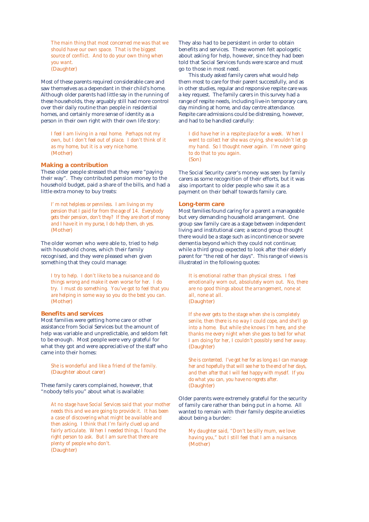*The main thing that most concerned me was that we should have our own space. That is the biggest source of conflict. And to do your own thing when you want.* (Daughter)

Most of these parents required considerable care and saw themselves as a dependant in their child's home. Although older parents had little say in the running of these households, they arguably still had more control over their daily routine than people in residential homes, and certainly more sense of identity as a person in their own right with their own life story:

*I feel I am living in a real home. Perhaps not my own, but I don't feel out of place. I don't think of it as my home, but it is a very nice home.* (Mother)

# **Making a contribution**

These older people stressed that they were "paying their way". They contributed pension money to the household budget, paid a share of the bills, and had a little extra money to buy treats:

*I' m not helpless or penniless. I am living on my pension that I paid for from the age of 14. Everybody gets their pension, don't they? If they are short of money and I have it in my purse, I do help them, oh yes.* (Mother)

The older women who were able to, tried to help with household chores, which their family recognised, and they were pleased when given something that they could manage:

*I try to help. I don't like to be a nuisance and do things wrong and make it even worse for her. I do try. I must do something. You've got to feel that you are helping in some way so you do the best you can.* (Mother)

# **Benefits and services**

Most families were getting home care or other assistance from Social Services but the amount of help was variable and unpredictable, and seldom felt to be enough. Most people were very grateful for what they got and were appreciative of the staff who came into their homes:

*She is wonderful and like a friend of the family.*  (Daughter about carer)

These family carers complained, however, that "nobody tells you" about what is available:

*At no stage have Social Services said that your mother needs this and we are going to provide it. It has been a case of discovering what might be available and then asking. I think that I'm fairly clued up and fairly articulate. When I needed things, I found the right person to ask. But I am sure that there are plenty of people who don't.* (Daughter)

They also had to be persistent in order to obtain benefits and services. These women felt apologetic about asking for help, however, since they had been told that Social Services funds were scarce and must go to those in most need.

This study asked family carers what would help them most to care for their parent successfully, and as in other studies, regular and responsive respite care was a key request. The family carers in this survey had a range of respite needs, including live-in temporary care, day minding at home, and day centre attendance. Respite care admissions could be distressing, however, and had to be handled carefully:

*I did have her in a respite place for a week. When I went to collect her she was crying, she wouldn't let go my hand. So I thought never again. I'm never going to do that to you again.*  (Son)

The Social Security carer's money was seen by family carers as some recognition of their efforts, but it was also important to older people who saw it as a payment on their behalf towards family care.

#### **Long-term care**

Most families found caring for a parent a manageable but very demanding household arrangement. One group saw family care as a stage between independent living and institutional care; a second group thought there would be a stage such as incontinence or severe dementia beyond which they could not continue; while a third group expected to look after their elderly parent for "the rest of her days". This range of views is illustrated in the following quotes:

*It is emotional rather than physical stress. I feel emotionally worn out, absolutely worn out. No, there are no good things about the arrangement, none at all, none at all.* (Daughter)

*If she ever gets to the stage when she is completely senile, then there is no way I could cope, and she'll go into a home. But while she knows I'm here, and she thanks me every night when she goes to bed for what I am doing for her, I couldn't possibly send her away.* (Daughter)

*She is contented. I've got her for as long as I can manage her and hopefully that will see her to the end of her days, and then after that I will feel happy with myself. If you do what you can, you have no regrets after.* (Daughter)

Older parents were extremely grateful for the security of family care rather than being put in a home. All wanted to remain with their family despite anxieties about being a burden:

*My daughter said, "Don't be silly mum, we love having you," but I still feel that I am a nuisance.* (Mother)